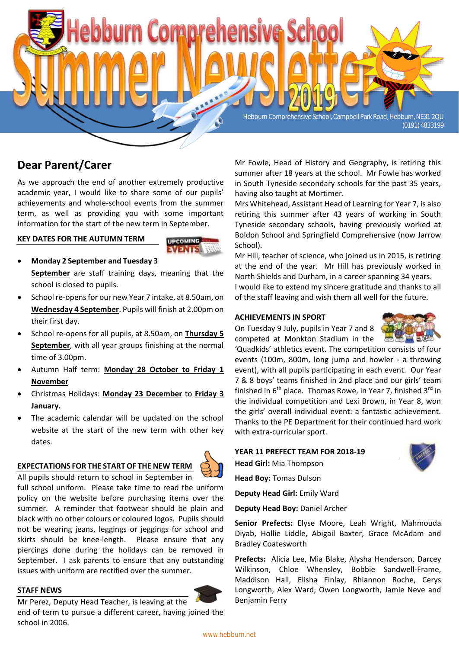

# **Dear Parent/Carer**

As we approach the end of another extremely productive academic year, I would like to share some of our pupils' achievements and whole-school events from the summer term, as well as providing you with some important information for the start of the new term in September.

#### **KEY DATES FOR THE AUTUMN TERM**



- **Monday 2 September and Tuesday 3 September** are staff training days, meaning that the school is closed to pupils.
- School re-opens for our new Year 7 intake, at 8.50am, on **Wednesday 4 September**. Pupils will finish at 2.00pm on their first day.
- School re-opens for all pupils, at 8.50am, on **Thursday 5 September**, with all year groups finishing at the normal time of 3.00pm.
- Autumn Half term: **Monday 28 October to Friday 1 November**
- Christmas Holidays: **Monday 23 December** to **Friday 3 January.**
- The academic calendar will be updated on the school website at the start of the new term with other key dates.

#### **EXPECTATIONS FOR THE START OF THE NEW TERM**



All pupils should return to school in September in full school uniform. Please take time to read the uniform policy on the website before purchasing items over the summer. A reminder that footwear should be plain and black with no other colours or coloured logos. Pupils should not be wearing jeans, leggings or jeggings for school and skirts should be knee-length. Please ensure that any piercings done during the holidays can be removed in September. I ask parents to ensure that any outstanding issues with uniform are rectified over the summer.

#### **STAFF NEWS**



Mr Perez, Deputy Head Teacher, is leaving at the end of term to pursue a different career, having joined the school in 2006.

Mr Fowle, Head of History and Geography, is retiring this summer after 18 years at the school. Mr Fowle has worked in South Tyneside secondary schools for the past 35 years, having also taught at Mortimer.

Mrs Whitehead, Assistant Head of Learning for Year 7, is also retiring this summer after 43 years of working in South Tyneside secondary schools, having previously worked at Boldon School and Springfield Comprehensive (now Jarrow School).

Mr Hill, teacher of science, who joined us in 2015, is retiring at the end of the year. Mr Hill has previously worked in North Shields and Durham, in a career spanning 34 years. I would like to extend my sincere gratitude and thanks to all of the staff leaving and wish them all well for the future.

#### **ACHIEVEMENTS IN SPORT**

On Tuesday 9 July, pupils in Year 7 and 8 competed at Monkton Stadium in the



'Quadkids' athletics event. The competition consists of four events (100m, 800m, long jump and howler - a throwing event), with all pupils participating in each event. Our Year 7 & 8 boys' teams finished in 2nd place and our girls' team finished in  $6<sup>th</sup>$  place. Thomas Rowe, in Year 7, finished  $3<sup>rd</sup>$  in the individual competition and Lexi Brown, in Year 8, won the girls' overall individual event: a fantastic achievement. Thanks to the PE Department for their continued hard work with extra-curricular sport.

|  |  | YEAR 11 PREFECT TEAM FOR 2018-19 |  |
|--|--|----------------------------------|--|
|--|--|----------------------------------|--|

**Head Girl:** Mia Thompson

**Head Boy:** Tomas Dulson

**Deputy Head Girl:** Emily Ward

**Deputy Head Boy:** Daniel Archer

**Senior Prefects:** Elyse Moore, Leah Wright, Mahmouda Diyab, Hollie Liddle, Abigail Baxter, Grace McAdam and Bradley Coatesworth

**Prefects:** Alicia Lee, Mia Blake, Alysha Henderson, Darcey Wilkinson, Chloe Whensley, Bobbie Sandwell-Frame, Maddison Hall, Elisha Finlay, Rhiannon Roche, Cerys Longworth, Alex Ward, Owen Longworth, Jamie Neve and Benjamin Ferry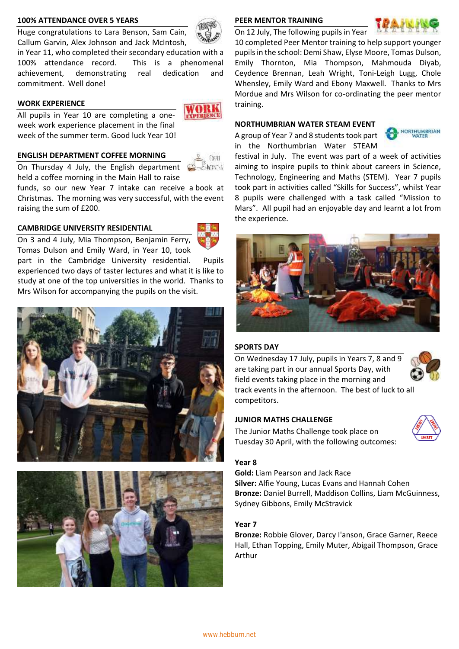#### **100% ATTENDANCE OVER 5 YEARS**

Huge congratulations to Lara Benson, Sam Cain, Callum Garvin, Alex Johnson and Jack McIntosh,

in Year 11, who completed their secondary education with a 100% attendance record. This is a phenomenal achievement, demonstrating real dedication and commitment. Well done!

# **WORK EXPERIENCE**

All pupils in Year 10 are completing a oneweek work experience placement in the final week of the summer term. Good luck Year 10!

# **ENGLISH DEPARTMENT COFFEE MORNING**

On Thursday 4 July, the English department held a coffee morning in the Main Hall to raise

funds, so our new Year 7 intake can receive a book at Christmas. The morning was very successful, with the event raising the sum of £200.

# **CAMBRIDGE UNIVERSITY RESIDENTIAL**



On 3 and 4 July, Mia Thompson, Benjamin Ferry, Tomas Dulson and Emily Ward, in Year 10, took

part in the Cambridge University residential. Pupils experienced two days of taster lectures and what it is like to study at one of the top universities in the world. Thanks to Mrs Wilson for accompanying the pupils on the visit.





#### **PEER MENTOR TRAINING**

On 12 July, The following pupils in Year



10 completed Peer Mentor training to help support younger pupils in the school: Demi Shaw, Elyse Moore, Tomas Dulson, Emily Thornton, Mia Thompson, Mahmouda Diyab, Ceydence Brennan, Leah Wright, Toni-Leigh Lugg, Chole Whensley, Emily Ward and Ebony Maxwell. Thanks to Mrs Mordue and Mrs Wilson for co-ordinating the peer mentor training.

#### **NORTHUMBRIAN WATER STEAM EVENT**

A group of Year 7 and 8 students took part in the Northumbrian Water STEAM



festival in July. The event was part of a week of activities aiming to inspire pupils to think about careers in Science, Technology, Engineering and Maths (STEM). Year 7 pupils took part in activities called "Skills for Success", whilst Year 8 pupils were challenged with a task called "Mission to Mars". All pupil had an enjoyable day and learnt a lot from the experience.



#### **SPORTS DAY**

On Wednesday 17 July, pupils in Years 7, 8 and 9 are taking part in our annual Sports Day, with field events taking place in the morning and track events in the afternoon. The best of luck to all competitors.

# **JUNIOR MATHS CHALLENGE**

The Junior Maths Challenge took place on Tuesday 30 April, with the following outcomes:



#### **Year 8**

**Gold:** Liam Pearson and Jack Race **Silver:** Alfie Young, Lucas Evans and Hannah Cohen **Bronze:** Daniel Burrell, Maddison Collins, Liam McGuinness, Sydney Gibbons, Emily McStravick

#### **Year 7**

**Bronze:** Robbie Glover, Darcy I'anson, Grace Garner, Reece Hall, Ethan Topping, Emily Muter, Abigail Thompson, Grace Arthur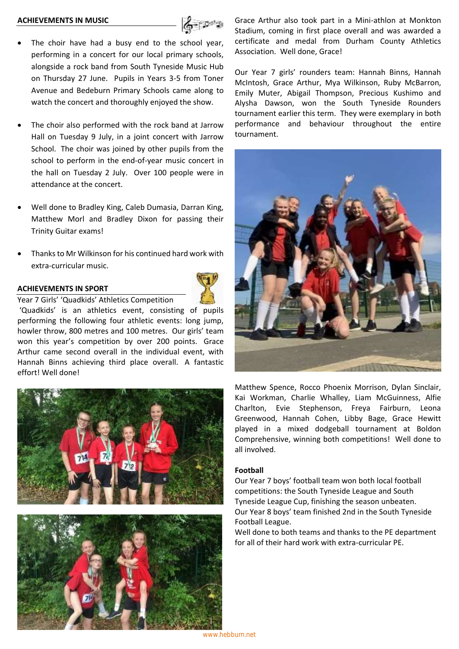#### **ACHIEVEMENTS IN MUSIC**



- The choir have had a busy end to the school year, performing in a concert for our local primary schools, alongside a rock band from South Tyneside Music Hub on Thursday 27 June. Pupils in Years 3-5 from Toner Avenue and Bedeburn Primary Schools came along to watch the concert and thoroughly enjoyed the show.
- The choir also performed with the rock band at Jarrow Hall on Tuesday 9 July, in a joint concert with Jarrow School. The choir was joined by other pupils from the school to perform in the end-of-year music concert in the hall on Tuesday 2 July. Over 100 people were in attendance at the concert.
- Well done to Bradley King, Caleb Dumasia, Darran King, Matthew Morl and Bradley Dixon for passing their Trinity Guitar exams!
- Thanks to Mr Wilkinson for his continued hard work with extra-curricular music.

#### **ACHIEVEMENTS IN SPORT**



Year 7 Girls' 'Quadkids' Athletics Competition

'Quadkids' is an athletics event, consisting of pupils performing the following four athletic events: long jump, howler throw, 800 metres and 100 metres. Our girls' team won this year's competition by over 200 points. Grace Arthur came second overall in the individual event, with Hannah Binns achieving third place overall. A fantastic effort! Well done!





Grace Arthur also took part in a Mini-athlon at Monkton Stadium, coming in first place overall and was awarded a certificate and medal from Durham County Athletics Association. Well done, Grace!

Our Year 7 girls' rounders team: Hannah Binns, Hannah McIntosh, Grace Arthur, Mya Wilkinson, Ruby McBarron, Emily Muter, Abigail Thompson, Precious Kushimo and Alysha Dawson, won the South Tyneside Rounders tournament earlier this term. They were exemplary in both performance and behaviour throughout the entire tournament.



Matthew Spence, Rocco Phoenix Morrison, Dylan Sinclair, Kai Workman, Charlie Whalley, Liam McGuinness, Alfie Charlton, Evie Stephenson, Freya Fairburn, Leona Greenwood, Hannah Cohen, Libby Bage, Grace Hewitt played in a mixed dodgeball tournament at Boldon Comprehensive, winning both competitions! Well done to all involved.

#### **Football**

Our Year 7 boys' football team won both local football competitions: the South Tyneside League and South Tyneside League Cup, finishing the season unbeaten. Our Year 8 boys' team finished 2nd in the South Tyneside Football League.

Well done to both teams and thanks to the PE department for all of their hard work with extra-curricular PE.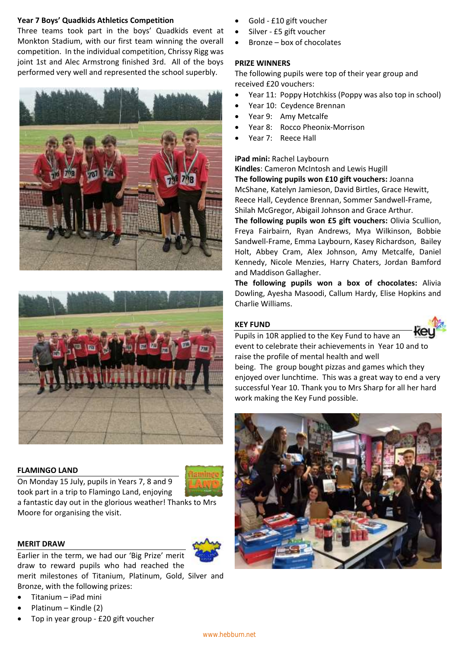# **Year 7 Boys' Quadkids Athletics Competition**

Three teams took part in the boys' Quadkids event at Monkton Stadium, with our first team winning the overall competition. In the individual competition, Chrissy Rigg was joint 1st and Alec Armstrong finished 3rd. All of the boys performed very well and represented the school superbly.





# **FLAMINGO LAND**

On Monday 15 July, pupils in Years 7, 8 and 9 took part in a trip to Flamingo Land, enjoying



a fantastic day out in the glorious weather! Thanks to Mrs Moore for organising the visit.

# **MERIT DRAW**

Earlier in the term, we had our 'Big Prize' merit draw to reward pupils who had reached the

merit milestones of Titanium, Platinum, Gold, Silver and Bronze, with the following prizes:

- Titanium iPad mini
- Platinum Kindle (2)
- Top in year group £20 gift voucher
- Gold £10 gift voucher
- Silver £5 gift voucher
- Bronze box of chocolates

# **PRIZE WINNERS**

The following pupils were top of their year group and received £20 vouchers:

- Year 11: Poppy Hotchkiss (Poppy was also top in school)
- Year 10: Ceydence Brennan
- Year 9: Amy Metcalfe
- Year 8: Rocco Pheonix-Morrison
- Year 7: Reece Hall

# **iPad mini:** Rachel Laybourn

**Kindles**: Cameron McIntosh and Lewis Hugill **The following pupils won £10 gift vouchers:** Joanna McShane, Katelyn Jamieson, David Birtles, Grace Hewitt, Reece Hall, Ceydence Brennan, Sommer Sandwell-Frame, Shilah McGregor, Abigail Johnson and Grace Arthur.

**The following pupils won £5 gift vouchers:** Olivia Scullion, Freya Fairbairn, Ryan Andrews, Mya Wilkinson, Bobbie Sandwell-Frame, Emma Laybourn, Kasey Richardson, Bailey Holt, Abbey Cram, Alex Johnson, Amy Metcalfe, Daniel Kennedy, Nicole Menzies, Harry Chaters, Jordan Bamford and Maddison Gallagher.

**The following pupils won a box of chocolates:** Alivia Dowling, Ayesha Masoodi, Callum Hardy, Elise Hopkins and Charlie Williams.

# **KEY FUND**



Pupils in 10R applied to the Key Fund to have an event to celebrate their achievements in Year 10 and to raise the profile of mental health and well

being. The group bought pizzas and games which they enjoyed over lunchtime. This was a great way to end a very successful Year 10. Thank you to Mrs Sharp for all her hard work making the Key Fund possible.